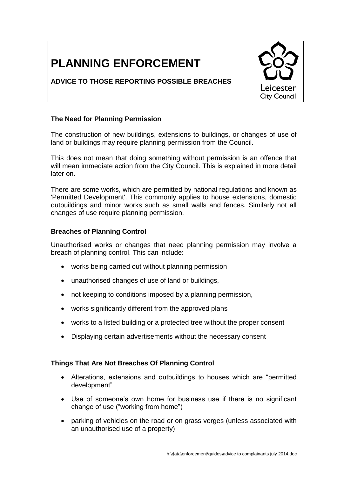# **PLANNING ENFORCEMENT**

# **ADVICE TO THOSE REPORTING POSSIBLE BREACHES**



# **The Need for Planning Permission**

The construction of new buildings, extensions to buildings, or changes of use of land or buildings may require planning permission from the Council.

This does not mean that doing something without permission is an offence that will mean immediate action from the City Council. This is explained in more detail later on.

There are some works, which are permitted by national regulations and known as 'Permitted Development'. This commonly applies to house extensions, domestic outbuildings and minor works such as small walls and fences. Similarly not all changes of use require planning permission.

## **Breaches of Planning Control**

Unauthorised works or changes that need planning permission may involve a breach of planning control. This can include:

- works being carried out without planning permission
- unauthorised changes of use of land or buildings,
- not keeping to conditions imposed by a planning permission,
- works significantly different from the approved plans
- works to a listed building or a protected tree without the proper consent
- Displaying certain advertisements without the necessary consent

# **Things That Are Not Breaches Of Planning Control**

- Alterations, extensions and outbuildings to houses which are "permitted development"
- Use of someone's own home for business use if there is no significant change of use ("working from home")
- parking of vehicles on the road or on grass verges (unless associated with an unauthorised use of a property)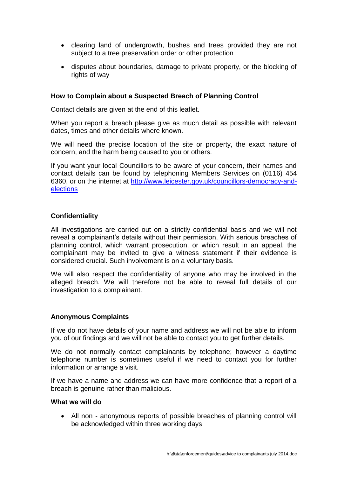- clearing land of undergrowth, bushes and trees provided they are not subject to a tree preservation order or other protection
- disputes about boundaries, damage to private property, or the blocking of rights of way

## **How to Complain about a Suspected Breach of Planning Control**

Contact details are given at the end of this leaflet.

When you report a breach please give as much detail as possible with relevant dates, times and other details where known.

We will need the precise location of the site or property, the exact nature of concern, and the harm being caused to you or others.

If you want your local Councillors to be aware of your concern, their names and contact details can be found by telephoning Members Services on (0116) 454 6360, or on the internet at [http://www.leicester.gov.uk/councillors-democracy-and](http://www.leicester.gov.uk/councillors-democracy-and-elections)[elections](http://www.leicester.gov.uk/councillors-democracy-and-elections)

#### **Confidentiality**

All investigations are carried out on a strictly confidential basis and we will not reveal a complainant's details without their permission. With serious breaches of planning control, which warrant prosecution, or which result in an appeal, the complainant may be invited to give a witness statement if their evidence is considered crucial. Such involvement is on a voluntary basis.

We will also respect the confidentiality of anyone who may be involved in the alleged breach. We will therefore not be able to reveal full details of our investigation to a complainant.

#### **Anonymous Complaints**

If we do not have details of your name and address we will not be able to inform you of our findings and we will not be able to contact you to get further details.

We do not normally contact complainants by telephone; however a daytime telephone number is sometimes useful if we need to contact you for further information or arrange a visit.

If we have a name and address we can have more confidence that a report of a breach is genuine rather than malicious.

#### **What we will do**

 All non - anonymous reports of possible breaches of planning control will be acknowledged within three working days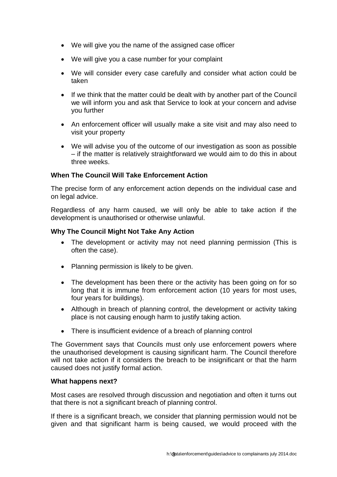- We will give you the name of the assigned case officer
- We will give you a case number for your complaint
- We will consider every case carefully and consider what action could be taken
- If we think that the matter could be dealt with by another part of the Council we will inform you and ask that Service to look at your concern and advise you further
- An enforcement officer will usually make a site visit and may also need to visit your property
- We will advise you of the outcome of our investigation as soon as possible – if the matter is relatively straightforward we would aim to do this in about three weeks.

## **When The Council Will Take Enforcement Action**

The precise form of any enforcement action depends on the individual case and on legal advice.

Regardless of any harm caused, we will only be able to take action if the development is unauthorised or otherwise unlawful.

## **Why The Council Might Not Take Any Action**

- The development or activity may not need planning permission (This is often the case).
- Planning permission is likely to be given.
- The development has been there or the activity has been going on for so long that it is immune from enforcement action (10 years for most uses, four years for buildings).
- Although in breach of planning control, the development or activity taking place is not causing enough harm to justify taking action.
- There is insufficient evidence of a breach of planning control

The Government says that Councils must only use enforcement powers where the unauthorised development is causing significant harm. The Council therefore will not take action if it considers the breach to be insignificant or that the harm caused does not justify formal action.

## **What happens next?**

Most cases are resolved through discussion and negotiation and often it turns out that there is not a significant breach of planning control.

If there is a significant breach, we consider that planning permission would not be given and that significant harm is being caused, we would proceed with the